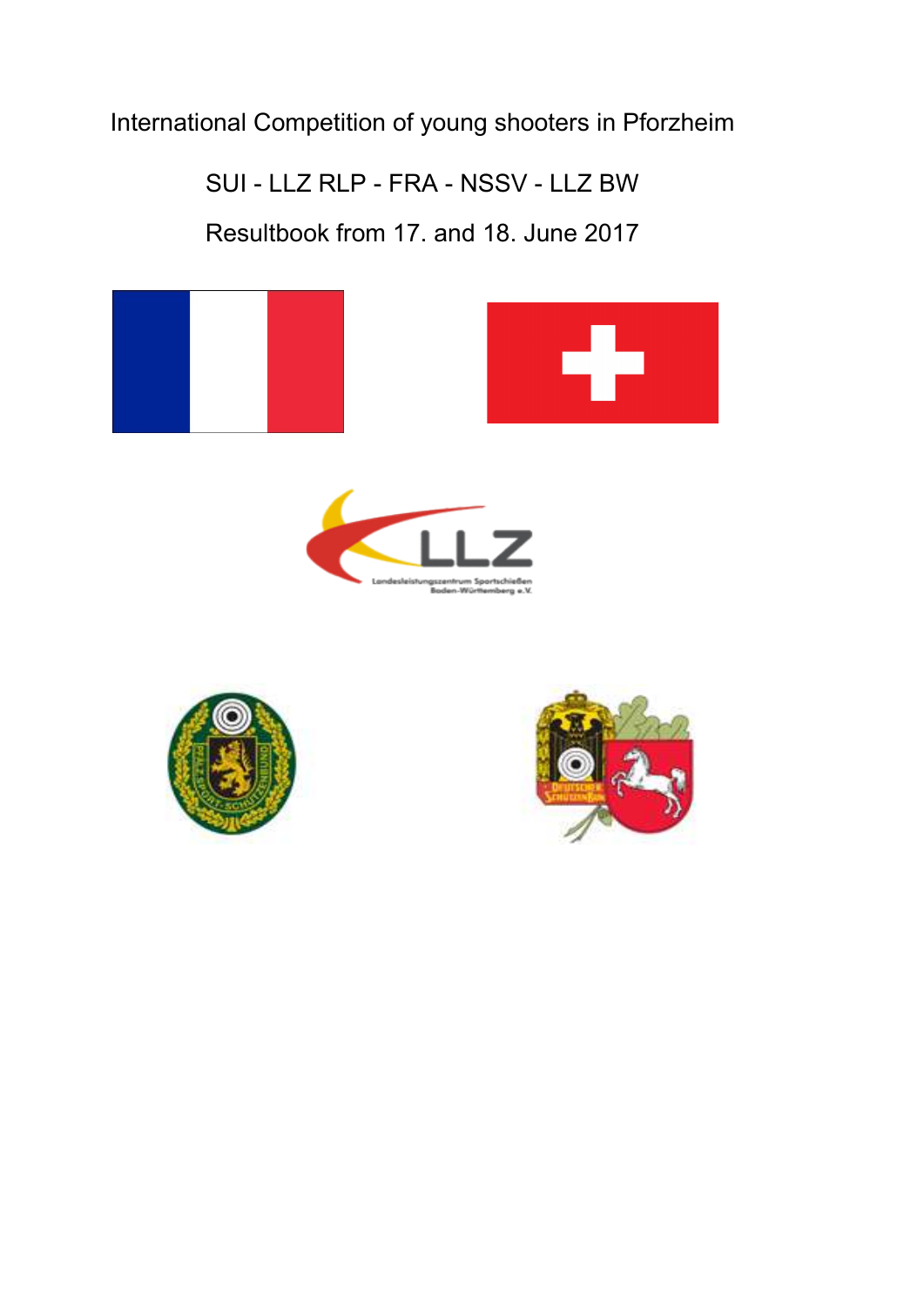International Competition of young shooters in Pforzheim

SUI - LLZ RLP - FRA - NSSV - LLZ BW

Resultbook from 17. and 18. June 2017



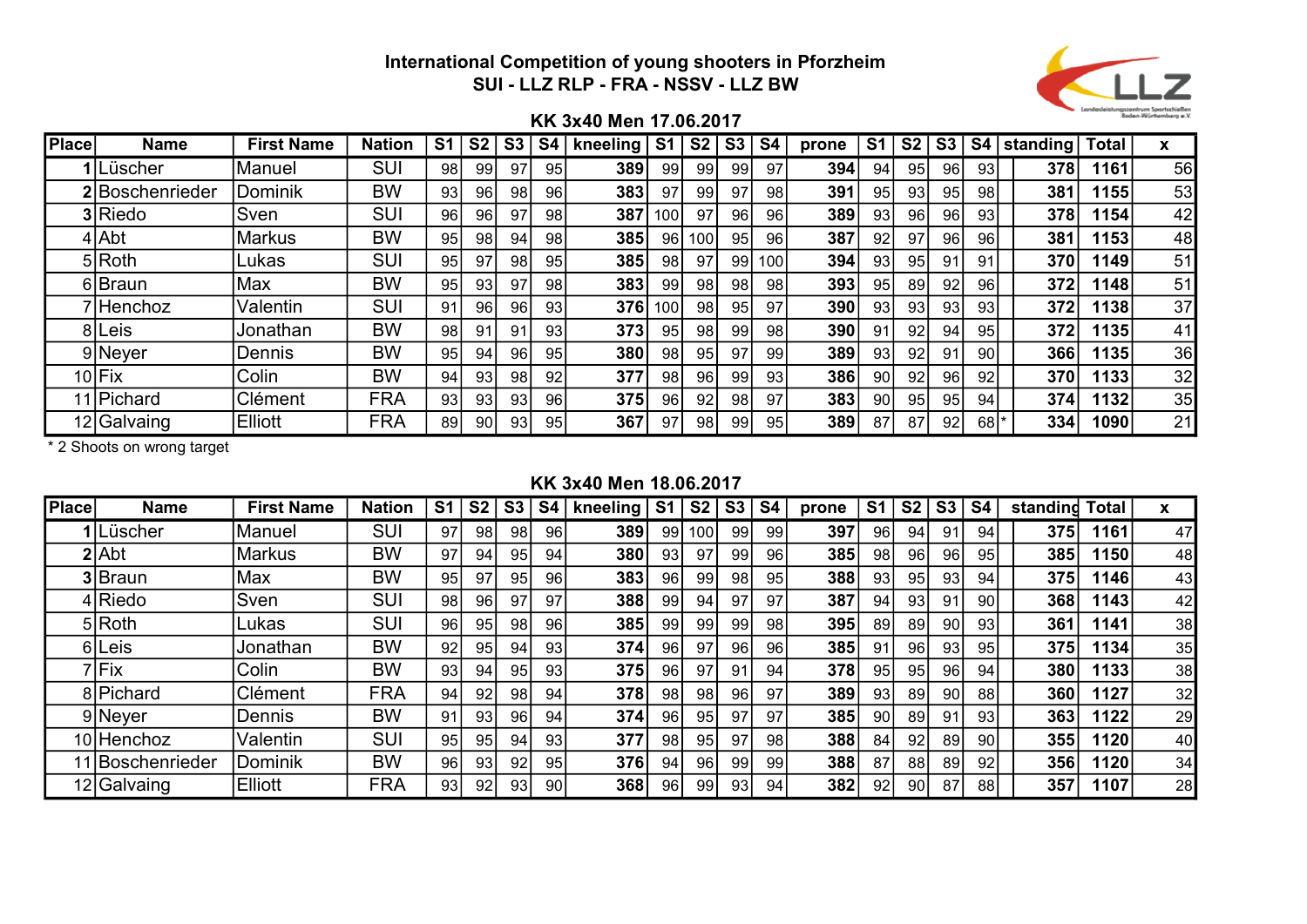

## KK 3x40 Men 17.06.2017

| <b>Place</b> | <b>Name</b>     | <b>First Name</b> | <b>Nation</b> | S <sub>1</sub> | S <sub>2</sub> | S <sub>3</sub>  | <b>S4</b> | kneeling | S <sub>1</sub>  | S <sub>2</sub>  | S <sub>3</sub> | <b>S4</b>       | prone | S <sub>1</sub> | S <sub>2</sub>  | S <sub>3</sub>  | <b>S4</b> | standing! | <b>Total</b> | x  |
|--------------|-----------------|-------------------|---------------|----------------|----------------|-----------------|-----------|----------|-----------------|-----------------|----------------|-----------------|-------|----------------|-----------------|-----------------|-----------|-----------|--------------|----|
|              | 1Lüscher        | Manuel            | SUI           | 98             | 99             | 97              | 95        | 389      | 99              | 99              | 99             | 97              | 394   | 94             | 95              | 96              | 93        | 378       | 1161         | 56 |
|              | 2 Boschenrieder | Dominik           | BW            | 93             | 96             | 98              | 96        | 383      | 97              | 99              | 97             | 98              | 391   | 95             | 93              | 95 <sub>1</sub> | 98        | 381       | 1155         | 53 |
|              | 3 Riedo         | Sven              | SUI           | 96             | 96             | 97              | 98        | 387      | 100             | 97              | 96             | 96              | 389   | 93             | 96              | 96              | 93        | 378       | 1154         | 42 |
|              | 4 Abt           | <b>Markus</b>     | <b>BW</b>     | 95             | 98             | 94              | 98        | 385      | 96              | 100             | 95             | 96              | 387   | 92             | 97              | 96              | 96        | 381       | 1153         | 48 |
|              | 5 Roth          | Lukas             | <b>SUI</b>    | 95             | 97             | 98 <sub>1</sub> | 95        | 385      | 98              | 97              | 99             | 100             | 394   | 93             | 95              | 91              | 91        | 370       | 1149         | 51 |
|              | 6 Braun         | Max               | BW            | 95             | 93             | 97              | 98        | 383      | 99              | 98I             | 98             | 98              | 393   | 95             | 89              | 92              | 96        | 372       | 1148         | 51 |
|              | /Henchoz        | Valentin          | SUI           | 91             | 96             | 96I             | 93        | 376      | 100             | 98 <sub>l</sub> | 95             | 97              | 390   | 93             | 93              | 93              | 93        | 372       | 1138         | 37 |
|              | 8 Leis          | Jonathan          | BW            | 98             | 91             | 91              | 93        | 373      | 95              | 98I             | 99             | 98 <sub>1</sub> | 390   | 91             | 92 <sub>1</sub> | 94              | 95        | 372       | 1135         | 41 |
|              | 9 Neyer         | Dennis            | <b>BW</b>     | 95             | 94             | 96              | 95        | 380      | 98 <sub>1</sub> | 95              | 97             | 99              | 389   | 93             | 92              | 91              | 90 l      | 366       | 1135         | 36 |
|              | $10$ $Fix$      | Colin             | <b>BW</b>     | 94             | 93             | 98              | 92        | 377      | 98 <sub>1</sub> | 96I             | 99             | 93              | 386   | 90             | 92 <sub>1</sub> | 96 I            | 92        | 370       | 11331        | 32 |
|              | 11 Pichard      | Clément           | <b>FRA</b>    | 93             | 93             | 93              | 96        | 375      | 96              | 92I             | 98             | 97              | 383   | 90             | 95              | 95              | 94        | 374       | 1132         | 35 |
|              | 12 Galvaing     | <b>Elliott</b>    | <b>FRA</b>    | 89             | 90             | 93              | 95        | 367      | 97              | 98              | 99             | 95              | 389   | 87             | 87              | 92 <sub>1</sub> | 68 *      | 334       | 1090         | 21 |

\* 2 Shoots on wrong target

## KK 3x40 Men 18.06.2017

| <b>Place</b> | <b>Name</b>      | <b>First Name</b> | <b>Nation</b> | S1 | S <sub>2</sub>  | S <sub>3</sub> | <b>S4</b> | kneeling | S <sub>1</sub>  | S <sub>2</sub>   | S <sub>3</sub> | <b>S4</b> | prone | S1 | S <sub>2</sub>  | S <sub>3</sub>  | S <sub>4</sub>  | standind | <b>Total</b> | X  |
|--------------|------------------|-------------------|---------------|----|-----------------|----------------|-----------|----------|-----------------|------------------|----------------|-----------|-------|----|-----------------|-----------------|-----------------|----------|--------------|----|
|              | 1Lüscher         | Manuel            | <b>SUI</b>    | 97 | 98              | 98             | 96        | 389      | 99              | 100 <sub>l</sub> | 99             | 99        | 397   | 96 | 94              | 91              | 94              | 375      | 1161         | 47 |
|              | $2$ Abt          | <b>Markus</b>     | <b>BW</b>     | 97 | 94              | 95             | 94        | 380      | 93              | 97               | 99             | 96        | 385   | 98 | 96              | 96              | 95              | 385      | 150          | 48 |
|              | 3 Braun          | Max               | <b>BW</b>     | 95 | 97              | 95             | 96        | 383      | 96 <sub>1</sub> | 99               | 98             | 95        | 388   | 93 | 95              | 93              | 94              | 375      | 146          | 43 |
|              | 4 Riedo          | Sven              | <b>SUI</b>    | 98 | 96              | 97             | 97        | 388      | 99              | 94               | 97             | 97        | 387   | 94 | 93              | 91              | 90 <sub>0</sub> | 368      | 143          | 42 |
|              | $5 R$ oth        | Lukas             | <b>SUI</b>    | 96 | 95              | 98             | 96        | 385      | 99              | 99               | 99             | 98        | 395   | 89 | 89              | 90              | 93              | 361      | 141          | 38 |
| 61           | Leis             | Jonathan          | <b>BW</b>     | 92 | 95              | 94             | 93        | 374      | 96              | 97               | 96             | 96        | 385   | 91 | 96              | 93              | 95 <sub>l</sub> | 375      | 134          | 35 |
|              | 7Fix             | Colin             | <b>BW</b>     | 93 | 94              | 95             | 93        | 375      | 96              | 97               | 91             | 94        | 378   | 95 | 95              | 96              | 94              | 380      | 133          | 38 |
|              | 8 Pichard        | Clément           | <b>FRA</b>    | 94 | 92              | 98             | 94        | 378      | 98              | 98               | 96             | 97        | 389   | 93 | 89              | 90 <sub>1</sub> | 88              | 360      | 1127         | 32 |
|              | 9 Neyer          | Dennis            | <b>BW</b>     | 91 | 93 <sub>1</sub> | 96I            | 94        | 374      | 96 <sub>1</sub> | 95I              | 97             | 97        | 385   | 90 | 89              | 91              | 93              | 363      | 122          | 29 |
|              | 10 Henchoz       | Valentin          | <b>SUI</b>    | 95 | 95              | 94             | 93        | 377      | 98              | 95               | 97             | 98        | 388   | 84 | 92 <sub>1</sub> | 89              | 90 <sub>0</sub> | 355      | 120          | 40 |
|              | 11 Boschenrieder | Dominik           | <b>BW</b>     | 96 | 93              | 92             | 95        | 376      | 94              | 96               | 99             | 99        | 388   | 87 | 88              | 89              | 92              | 356      | 120          | 34 |
|              | 12 Galvaing      | Elliott           | <b>FRA</b>    | 93 | 92              | 93             | 90 I      | 368      | 96 <sub>1</sub> | 99               | 93             | 94        | 382   | 92 | 90              | 87              | 88              | 357      | 107          | 28 |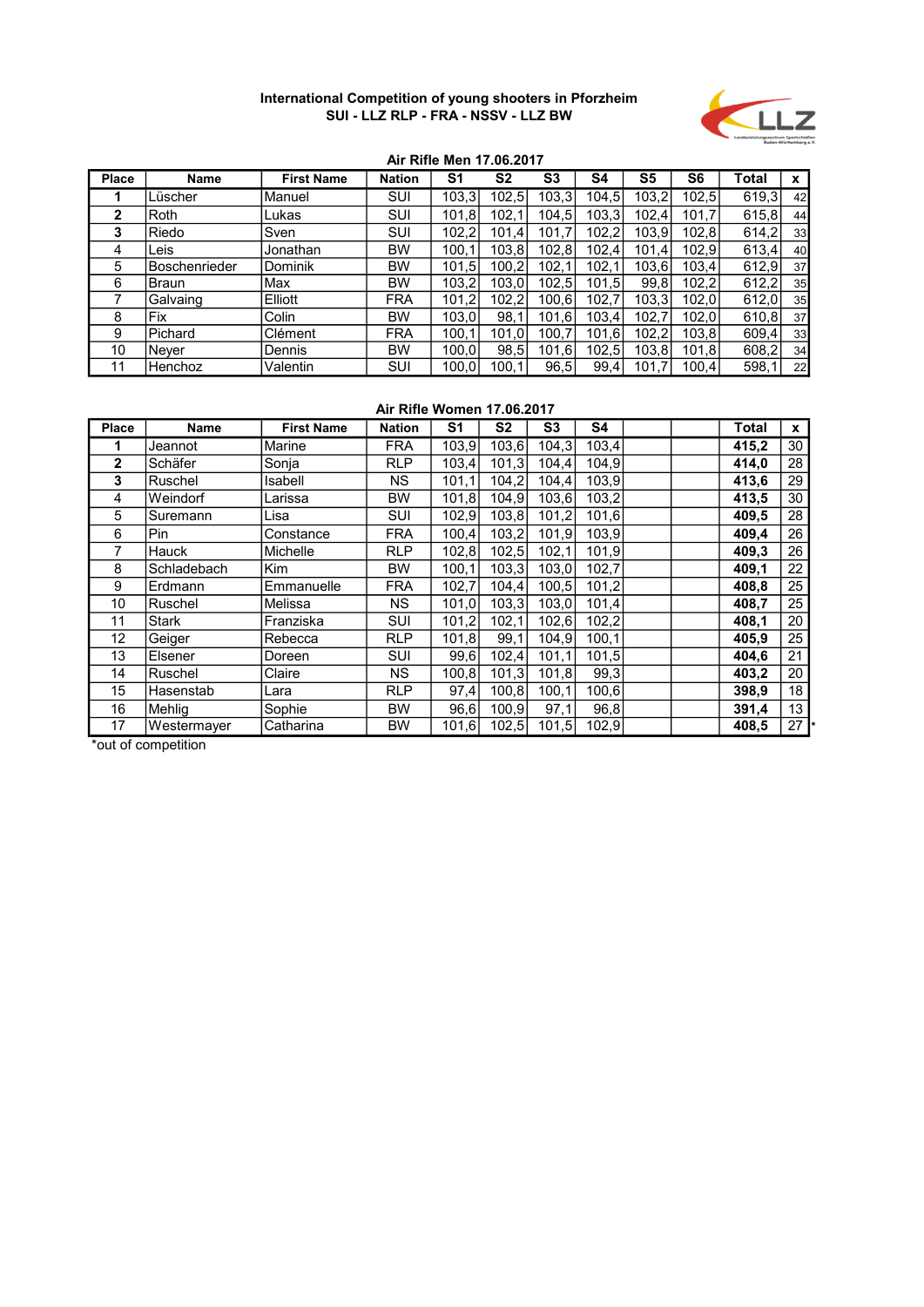

## Air Rifle Men 17.06.2017

| <b>Place</b> | <b>Name</b>          | <b>First Name</b> | <b>Nation</b> | S <sub>1</sub> | S <sub>2</sub> | S <sub>3</sub> | S4    | S <sub>5</sub> | S <sub>6</sub> | Total  | x  |
|--------------|----------------------|-------------------|---------------|----------------|----------------|----------------|-------|----------------|----------------|--------|----|
|              | Lüscher              | Manuel            | SUI           | 103,3          | 102,5          | 103,3          | 104,5 | 103,2          | 102,5          | 619,3  | 42 |
| $\mathbf{2}$ | <b>Roth</b>          | Lukas             | SUI           | 101,8          | 102,           | 104,5          | 103,3 | 102.4          | 101,7          | 615,8  | 44 |
| 3            | Riedo                | Sven              | SUI           | 102,2          | 101,4          | 101,7          | 102,2 | 103,9          | 102,8          | 614,2  | 33 |
| 4            | Leis                 | Jonathan          | BW            | 100.1          | 103, 8         | 102,8          | 102,4 | 101.4          | 102.91         | 613,4  | 40 |
| 5            | <b>Boschenrieder</b> | <b>Dominik</b>    | BW            | 101.5          | 100.21         | 102,1          | 102,1 | 103,6          | 103.4          | 612,9  | 37 |
| 6            | <b>Braun</b>         | lMax              | BW            | 103,2          | 103,0          | 102,5          | 101,5 | 99.8           | 102,2          | 612,2  | 35 |
|              | Galvaing             | Elliott           | <b>FRA</b>    | 101,2          | 102,2          | 100,6          | 102,7 | 103,3          | 102,0          | 612,0  | 35 |
| 8            | Fix                  | Colin             | BW            | 103,0          | 98.            | 101,6          | 103.4 | 102.7          | 102,0          | 610, 8 | 37 |
| 9            | Pichard              | Clément           | <b>FRA</b>    | 100,1          | 101,0          | 100,7          | 101,6 | 102.2          | 103,8          | 609,4  | 33 |
| 10           | <b>Never</b>         | Dennis            | BW            | 100.0          | 98,5           | 101,6          | 102,5 | 103.8          | 101,8          | 608,2  | 34 |
| 11           | Henchoz              | Valentin          | SUI           | 100,0          | 100.1          | 96,5           | 99,4  | 101.7          | 100.4          | 598,1  | 22 |

### Air Rifle Women 17.06.2017

| <b>Place</b>      | Name         | <b>First Name</b> | <b>Nation</b> | S1     | S <sub>2</sub> | S3    | S4    |  | Total | $\mathbf{x}$ |
|-------------------|--------------|-------------------|---------------|--------|----------------|-------|-------|--|-------|--------------|
| 1                 | Jeannot      | Marine            | <b>FRA</b>    | 103,9  | 103,6          | 104,3 | 103,4 |  | 415,2 | 30           |
| $\mathbf{2}$      | Schäfer      | Sonja             | <b>RLP</b>    | 103,4  | 101,3          | 104,4 | 104,9 |  | 414,0 | 28           |
| 3                 | Ruschel      | Isabell           | NS.           | 101,1  | 104,2          | 104,4 | 103,9 |  | 413,6 | 29           |
| 4                 | Weindorf     | _arissa           | <b>BW</b>     | 101, 8 | 104.9          | 103,6 | 103,2 |  | 413,5 | 30           |
| 5                 | Suremann     | Lisa              | SUI           | 102,9  | 103,8          | 101,2 | 101,6 |  | 409,5 | 28           |
| 6                 | Pin          | Constance         | <b>FRA</b>    | 100,4  | 103,2          | 101,9 | 103,9 |  | 409,4 | 26           |
|                   | Hauck        | Michelle          | <b>RLP</b>    | 102,8  | 102,5          | 102,1 | 101,9 |  | 409.3 | 26           |
| 8                 | Schladebach  | Kim               | <b>BW</b>     | 100,1  | 103,3          | 103,0 | 102,7 |  | 409,1 | 22           |
| 9                 | Erdmann      | Emmanuelle        | <b>FRA</b>    | 102,7  | 104,4          | 100,5 | 101,2 |  | 408,8 | 25           |
| 10                | Ruschel      | Melissa           | NS.           | 101,0  | 103,3          | 103,0 | 101,4 |  | 408,7 | 25           |
| 11                | <b>Stark</b> | Franziska         | <b>SUI</b>    | 101,2  | 102,1          | 102,6 | 102,2 |  | 408,1 | 20           |
| $12 \overline{ }$ | Geiger       | Rebecca           | <b>RLP</b>    | 101, 8 | 99,1           | 104.9 | 100,1 |  | 405.9 | 25           |
| 13                | Elsener      | Doreen            | SUI           | 99,6   | 102,4          | 101,1 | 101,5 |  | 404,6 | 21           |
| 14                | Ruschel      | Claire            | NS.           | 100,8  | 101,3          | 101,8 | 99,3  |  | 403,2 | 20           |
| 15                | Hasenstab    | Lara              | <b>RLP</b>    | 97,4   | 100,8          | 100,1 | 100,6 |  | 398,9 | 18           |
| 16                | Mehlig       | Sophie            | <b>BW</b>     | 96,6   | 100,9          | 97,1  | 96,8  |  | 391,4 | 13           |
| 17                | Westermayer  | Catharina         | <b>BW</b>     | 101,6  | 102,5          | 101,5 | 102,9 |  | 408,5 | 27           |

\*out of competition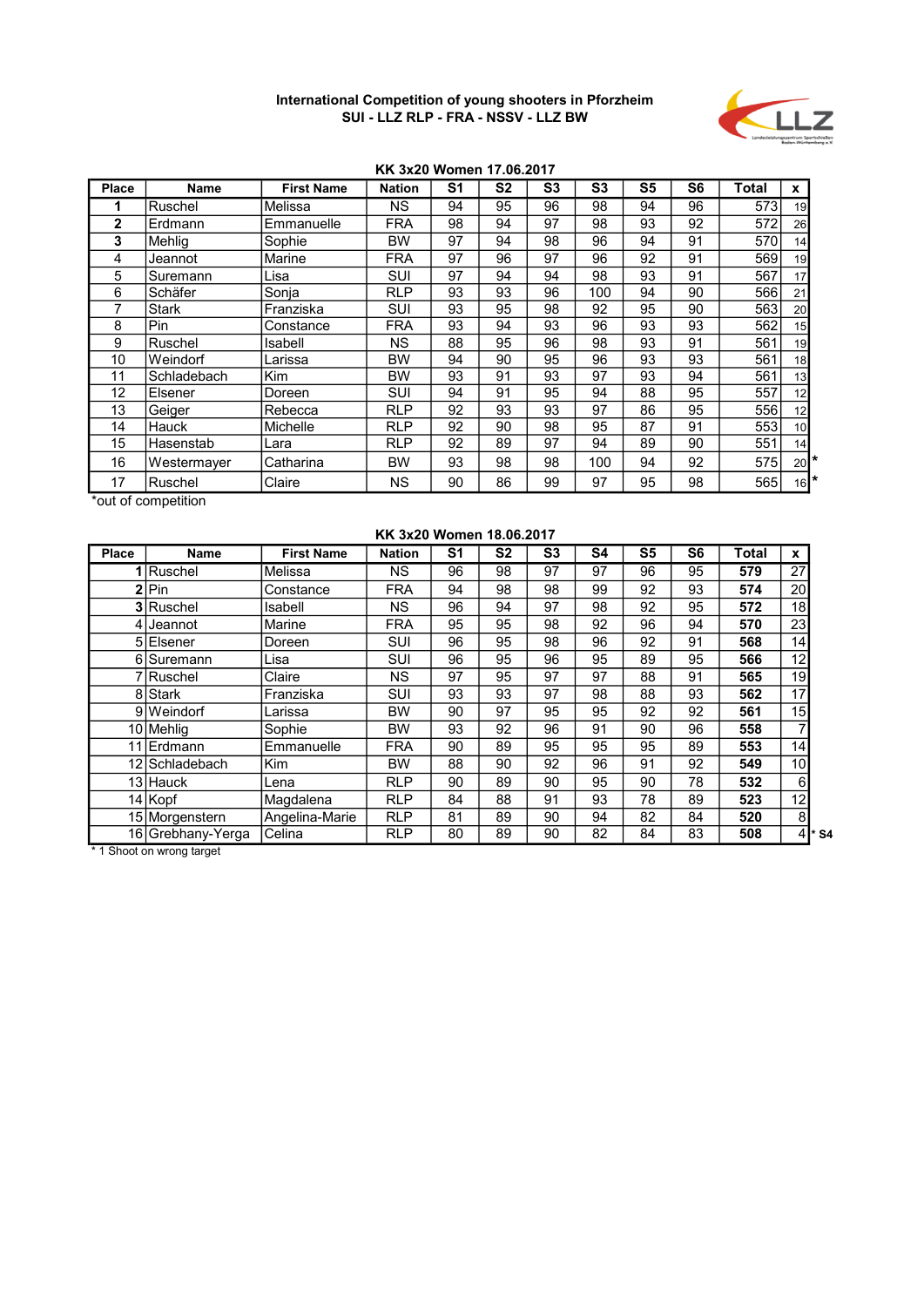

### KK 3x20 Women 17.06.2017

| <b>Place</b> | Name         | <b>First Name</b> | <b>Nation</b> | S <sub>1</sub> | S <sub>2</sub> | S <sub>3</sub> | S3  | S <sub>5</sub> | S6 | Total | x                 |
|--------------|--------------|-------------------|---------------|----------------|----------------|----------------|-----|----------------|----|-------|-------------------|
|              | Ruschel      | Melissa           | NS.           | 94             | 95             | 96             | 98  | 94             | 96 | 573   | 19                |
| $\mathbf{2}$ | Erdmann      | Emmanuelle        | <b>FRA</b>    | 98             | 94             | 97             | 98  | 93             | 92 | 572   | 26                |
| 3            | Mehlia       | Sophie            | BW            | 97             | 94             | 98             | 96  | 94             | 91 | 570   | 14                |
| 4            | Jeannot      | Marine            | FRA           | 97             | 96             | 97             | 96  | 92             | 91 | 569   | 19                |
| 5            | Suremann     | Lisa              | SUI           | 97             | 94             | 94             | 98  | 93             | 91 | 567   | 17                |
| 6            | Schäfer      | Sonja             | <b>RLP</b>    | 93             | 93             | 96             | 100 | 94             | 90 | 566   | 21                |
|              | <b>Stark</b> | Franziska         | <b>SUI</b>    | 93             | 95             | 98             | 92  | 95             | 90 | 563   | 20                |
| 8            | Pin          | Constance         | <b>FRA</b>    | 93             | 94             | 93             | 96  | 93             | 93 | 562   | 15                |
| 9            | Ruschel      | Isabell           | NS.           | 88             | 95             | 96             | 98  | 93             | 91 | 561   | 19                |
| 10           | Weindorf     | Larissa           | BW            | 94             | 90             | 95             | 96  | 93             | 93 | 561   | 18                |
| 11           | Schladebach  | <b>Kim</b>        | BW            | 93             | 91             | 93             | 97  | 93             | 94 | 561   | 13                |
| 12           | Elsener      | Doreen            | <b>SUI</b>    | 94             | 91             | 95             | 94  | 88             | 95 | 557   | 12                |
| 13           | Geiger       | Rebecca           | <b>RLP</b>    | 92             | 93             | 93             | 97  | 86             | 95 | 556   | 12                |
| 14           | Hauck        | Michelle          | <b>RLP</b>    | 92             | 90             | 98             | 95  | 87             | 91 | 553   | 10                |
| 15           | Hasenstab    | Lara              | <b>RLP</b>    | 92             | 89             | 97             | 94  | 89             | 90 | 551   | 14                |
| 16           | Westermayer  | Catharina         | <b>BW</b>     | 93             | 98             | 98             | 100 | 94             | 92 | 575   | $20$ <sup>*</sup> |
| 17           | Ruschel      | Claire            | <b>NS</b>     | 90             | 86             | 99             | 97  | 95             | 98 | 565   | $16$ <sup>*</sup> |

\*out of competition

| KK 3x20 Women 18.06.2017 |                   |                   |               |    |                |                |    |    |    |       |           |  |  |  |
|--------------------------|-------------------|-------------------|---------------|----|----------------|----------------|----|----|----|-------|-----------|--|--|--|
| <b>Place</b>             | <b>Name</b>       | <b>First Name</b> | <b>Nation</b> | S1 | S <sub>2</sub> | S <sub>3</sub> | S4 | S5 | S6 | Total | x         |  |  |  |
|                          | <b>Ruschel</b>    | Melissa           | NS            | 96 | 98             | 97             | 97 | 96 | 95 | 579   | 27        |  |  |  |
| 2                        | Pin               | Constance         | <b>FRA</b>    | 94 | 98             | 98             | 99 | 92 | 93 | 574   | 20        |  |  |  |
|                          | 3 Ruschel         | Isabell           | <b>NS</b>     | 96 | 94             | 97             | 98 | 92 | 95 | 572   | 18        |  |  |  |
|                          | lJeannot          | Marine            | <b>FRA</b>    | 95 | 95             | 98             | 92 | 96 | 94 | 570   | 23        |  |  |  |
|                          | 5 Elsener         | Doreen            | SUI           | 96 | 95             | 98             | 96 | 92 | 91 | 568   | 14        |  |  |  |
|                          | 6 Suremann        | Lisa              | SUI           | 96 | 95             | 96             | 95 | 89 | 95 | 566   | 12        |  |  |  |
|                          | 7 Ruschel         | Claire            | NS            | 97 | 95             | 97             | 97 | 88 | 91 | 565   | 19        |  |  |  |
|                          | 8 Stark           | Franziska         | SUI           | 93 | 93             | 97             | 98 | 88 | 93 | 562   | 17        |  |  |  |
|                          | 9 Weindorf        | Larissa           | BW            | 90 | 97             | 95             | 95 | 92 | 92 | 561   | 15        |  |  |  |
|                          | 10 Mehlig         | Sophie            | <b>BW</b>     | 93 | 92             | 96             | 91 | 90 | 96 | 558   |           |  |  |  |
| 11                       | <b>IErdmann</b>   | Emmanuelle        | <b>FRA</b>    | 90 | 89             | 95             | 95 | 95 | 89 | 553   | 14        |  |  |  |
| 12                       | l Schladebach     | <b>Kim</b>        | <b>BW</b>     | 88 | 90             | 92             | 96 | 91 | 92 | 549   | 10        |  |  |  |
|                          | 13 Hauck          | Lena              | <b>RLP</b>    | 90 | 89             | 90             | 95 | 90 | 78 | 532   | 6         |  |  |  |
|                          | 14 Kopf           | Magdalena         | <b>RLP</b>    | 84 | 88             | 91             | 93 | 78 | 89 | 523   | 12        |  |  |  |
|                          | 15 Morgenstern    | Angelina-Marie    | <b>RLP</b>    | 81 | 89             | 90             | 94 | 82 | 84 | 520   | 8         |  |  |  |
|                          | 16 Grebhany-Yerga | Celina            | <b>RLP</b>    | 80 | 89             | 90             | 82 | 84 | 83 | 508   | * S4<br>4 |  |  |  |

\* 1 Shoot on wrong target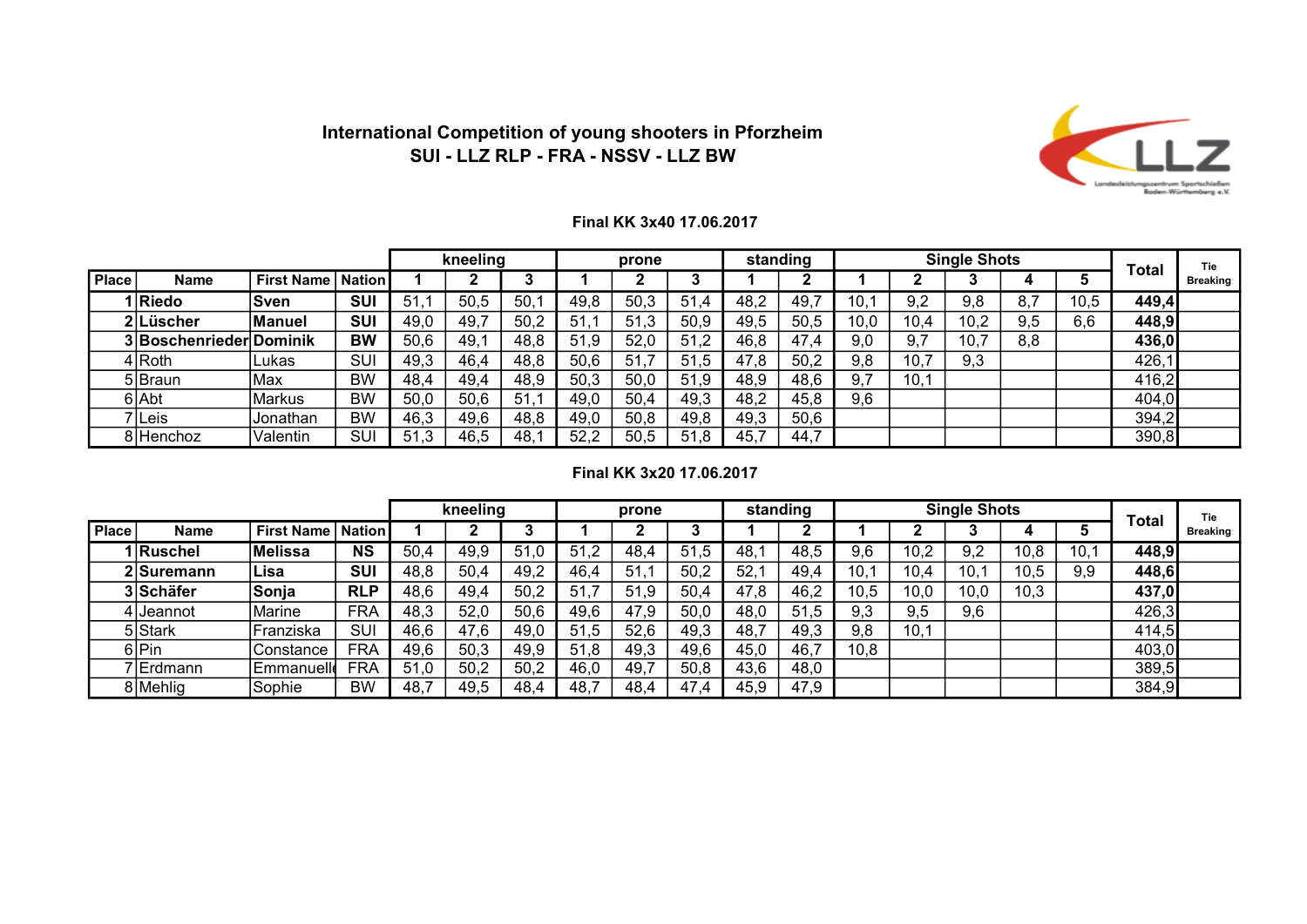

### Final KK 3x40 17.06.2017

|              |                         |                              |            |      | kneeling |      |      | prone |      |      | standing |      |      | <b>Single Shots</b> |     |      | <b>Total</b> | Tie             |
|--------------|-------------------------|------------------------------|------------|------|----------|------|------|-------|------|------|----------|------|------|---------------------|-----|------|--------------|-----------------|
| <b>Place</b> | <b>Name</b>             | <b>First Name   Nation  </b> |            |      |          |      |      |       |      |      |          |      |      |                     |     |      |              | <b>Breaking</b> |
|              | Riedo                   | <b>Sven</b>                  | <b>SUI</b> | -51  | 50,5     | 50.  | 49,8 | 50,3  | 51.4 | 48.2 | 49.      | 10.  | 9.2  | 9,8                 |     | 10.5 | 449,4        |                 |
|              | 2 Lüscher               | <b>Manuel</b>                | <b>SUI</b> | 49,0 | 49,7     | 50,2 | 51   | 51,3  | 50,9 | 49,5 | 50,5     | 10,0 | 10,4 | 10,2                | 9,5 | 6,6  | 448,9        |                 |
|              | 3 Boschenrieder Dominik |                              | <b>BW</b>  | 50,6 | 49,1     | 48,8 | 51.9 | 52,0  | 51,2 | 46.8 | 47,4     | 9,0  | 9,7  | 10,7                | 8,8 |      | 436,0        |                 |
|              | $4 R$ oth               | Lukas                        | SUI        | 49,3 | 46,4     | 48,8 | 50,6 | 51    | 51,5 | 47,8 | 50,2     | 9,8  | 10,7 | 9,3                 |     |      | 426,1        |                 |
|              | 5 Braun                 | Max                          | <b>BW</b>  | 48,4 | 49,4     | 48.9 | 50,3 | 50,0  | 51,9 | 48,9 | 48,6     | 9.7  | 10,1 |                     |     |      | 416,2        |                 |
|              | 6 Abt                   | Markus                       | <b>BW</b>  | 50,0 | 50,6     | 51.1 | 49,0 | 50,4  | 49,3 | 48,2 | 45,8     | 9,6  |      |                     |     |      | 404,0        |                 |
|              | ' Leis                  | Jonathan                     | <b>BW</b>  | 46,3 | 49,6     | 48,8 | 49,0 | 50,8  | 49,8 | 49,3 | 50,6     |      |      |                     |     |      | 394,2        |                 |
|              | 8 Henchoz               | Valentin                     | SUI        | 51.3 | 46,5     | 48,  | 52,2 | 50.5  | 51,8 | 45,7 | 44,7     |      |      |                     |     |      | 390,8        |                 |

## Final KK 3x20 17.06.2017

|              |             |                              |            |      | kneeling |      |          | prone |      | standing |      |      |      | <b>Single Shots</b> |      |     | <b>Total</b> | Tie             |
|--------------|-------------|------------------------------|------------|------|----------|------|----------|-------|------|----------|------|------|------|---------------------|------|-----|--------------|-----------------|
| <b>Place</b> | <b>Name</b> | <b>First Name   Nation  </b> |            |      |          | o    |          |       |      |          |      |      |      |                     |      |     |              | <b>Breaking</b> |
|              | 1 Ruschel   | Melissa                      | <b>NS</b>  | 50,4 | 49,9     | 51,0 | 51<br>.2 | 48.4  | 51.5 | 48.      | 48,5 | 9.6  | 10,2 | 9,2                 | 10.8 | 10, | 448,9        |                 |
|              | 2 Suremann  | Lisa                         | <b>SUI</b> | 48,8 | 50,4     | 49,2 | 46,4     | 51,1  | 50,2 | 52.      | 49,4 | 10,1 | 10,4 | 10.7                | 10,5 | 9,9 | 448,6        |                 |
|              | 3 Schäfer   | Sonja                        | <b>RLP</b> | 48,6 | 49,4     | 50,2 | 51       | 51,9  | 50,4 | 47,8     | 46,2 | 10,5 | 10,0 | 10,0                | 10,3 |     | 437,0        |                 |
|              | 4 I Jeannot | Marine                       | <b>FRA</b> | 48,3 | 52,0     | 50,6 | 49,6     | 47,9  | 50,0 | 48,0     | 51,5 | 9,3  | 9,5  | 9,6                 |      |     | 426,3        |                 |
|              | 5 Stark     | Franziska                    | SUI        | 46,6 | 47,6     | 49,0 | 51,5     | 52,6  | 49,3 | 48,7     | 49,3 | 9,8  | 10,1 |                     |      |     | 414,5        |                 |
|              | 6 Pin       | Constance                    | <b>FRA</b> | 49,6 | 50,3     | 49,9 | 51,8     | 49,3  | 49,6 | 45,0     | 46,7 | 10,8 |      |                     |      |     | 403,0        |                 |
|              | 7 Erdmann   | <b>Emmanuelle</b>            | <b>FRA</b> | 51.0 | 50,2     | 50,2 | 46,0     | 49,7  | 50,8 | 43,6     | 48,0 |      |      |                     |      |     | 389,5        |                 |
|              | 8 Mehlig    | Sophie                       | <b>BW</b>  | 48,7 | 49,5     | 48,4 | 48,7     | 48,4  | 47,4 | 45,9     | 47,9 |      |      |                     |      |     | 384,9        |                 |